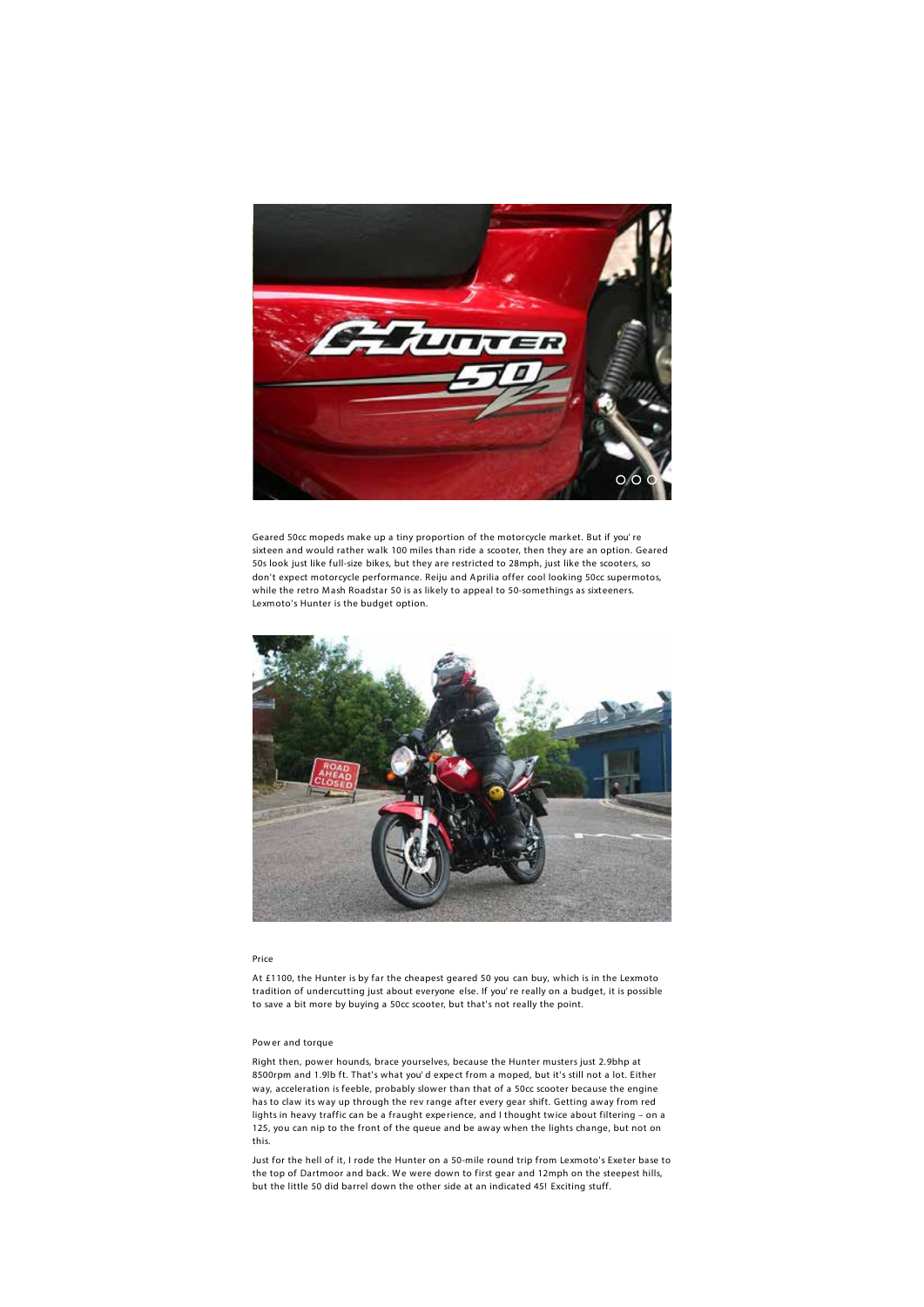

Geared 50cc mopeds make up a tiny proportion of the motorcycle market. But if you' re sixteen and would rather walk 100 miles than ride a scooter, then they are an option. Geared 50s look just like full-size bikes, but they are restricted to 28mph, just like the scooters, so don't expect motorcycle performance. Reiju and Aprilia offer cool looking 50cc supermotos, while the retro Mash Roadstar 50 is as likely to appeal to 50-somethings as sixteeners. Lexmoto's Hunter is the budget option.



#### **Price**

At £1100, the Hunter is by far the cheapest geared 50 you can buy, which is in the Lexmoto tradition of undercutting just about everyone else. If you' re really on a budget, it is possible to save a bit more by buying a 50cc scooter, but that's not really the point.

#### **Pow er and torque**

Right then, power hounds, brace yourselves, because the Hunter musters just 2.9bhp at 8500rpm and 1.9lb ft. That's what you' d expe ct from a moped, but it's still not a lot. Either way, acceleration is feeble, probably slower than that of a 50cc scooter because the engine has to claw its way up through the rev range after every gear shift. Getting away from red lights in heavy traffic can be a fraught expe rience, and I thought twice about filtering – on a 125, you can nip to the front of the queue and be away when the lights change, but not on this.

Just for the hell of it, I rode the Hunter on a 50-mile round trip from Lexmoto's Exeter base to the top of Dartmoor and back. We were down to first gear and 12mph on the steepest hills, but the little 50 did barrel down the other side at an indicated 45! Exciting stuff.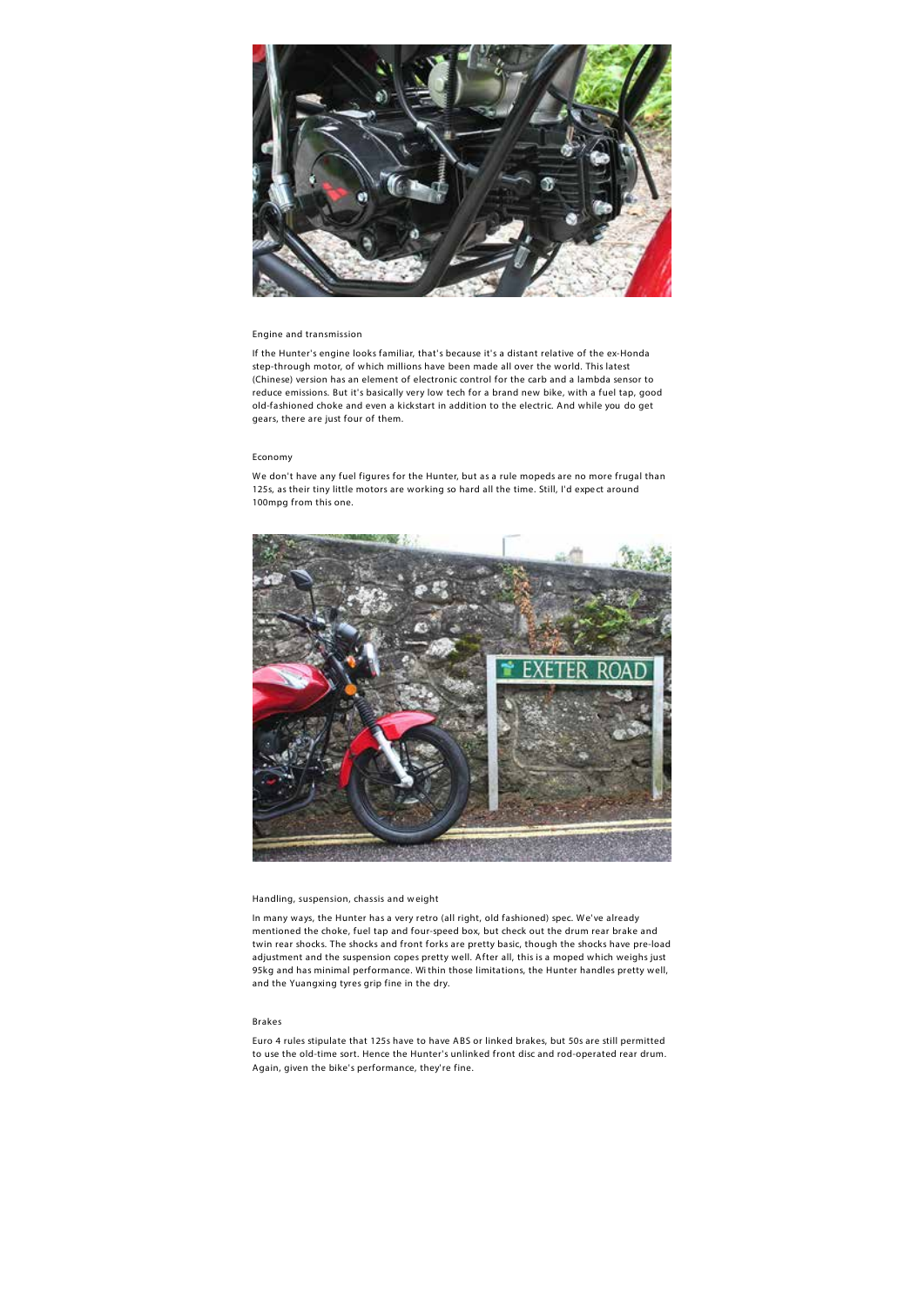

#### **Engine and transmission**

If the Hunter's engine looks familiar, that's because it's a distant relative of the ex-Honda step-through motor, of which millions have been made all over the world. This latest (Chinese) version has an element of electronic control for the carb and a lambda sensor to reduce emissions. But it's basically very low tech for a brand new bike, with a fuel tap, good old-fashioned choke and even a kickstart in addition to the electric. And while you do get gears, there are just four of them.

## **Economy**

We don't have any fuel figures for the Hunter, but as a rule mopeds are no more frugal than 125s, as their tiny little motors are working so hard all the time. Still, I'd expe ct around 100mpg from this one.



#### **Handling, suspension, chassis and w eight**

In many ways, the Hunter has a very retro (all right, old fashioned) spec. We've already mentioned the choke, fuel tap and four-speed box, but check out the drum rear brake and twin rear shocks. The shocks and front forks are pretty basic, though the shocks have pre-load adjustment and the suspension copes pretty well. After all, this is a moped which weighs just 95kg and has minimal performance. Wi thin those limitations, the Hunter handles pretty well, and the Yuangxing tyres grip fine in the dry.

## **Brakes**

Euro 4 rules stipulate that 125s have to have ABS or linked brakes, but 50s are still permitted to use the old-time sort. Hence the Hunter's unlinked front disc and rod-operated rear drum. Again, given the bike's performance, they're fine.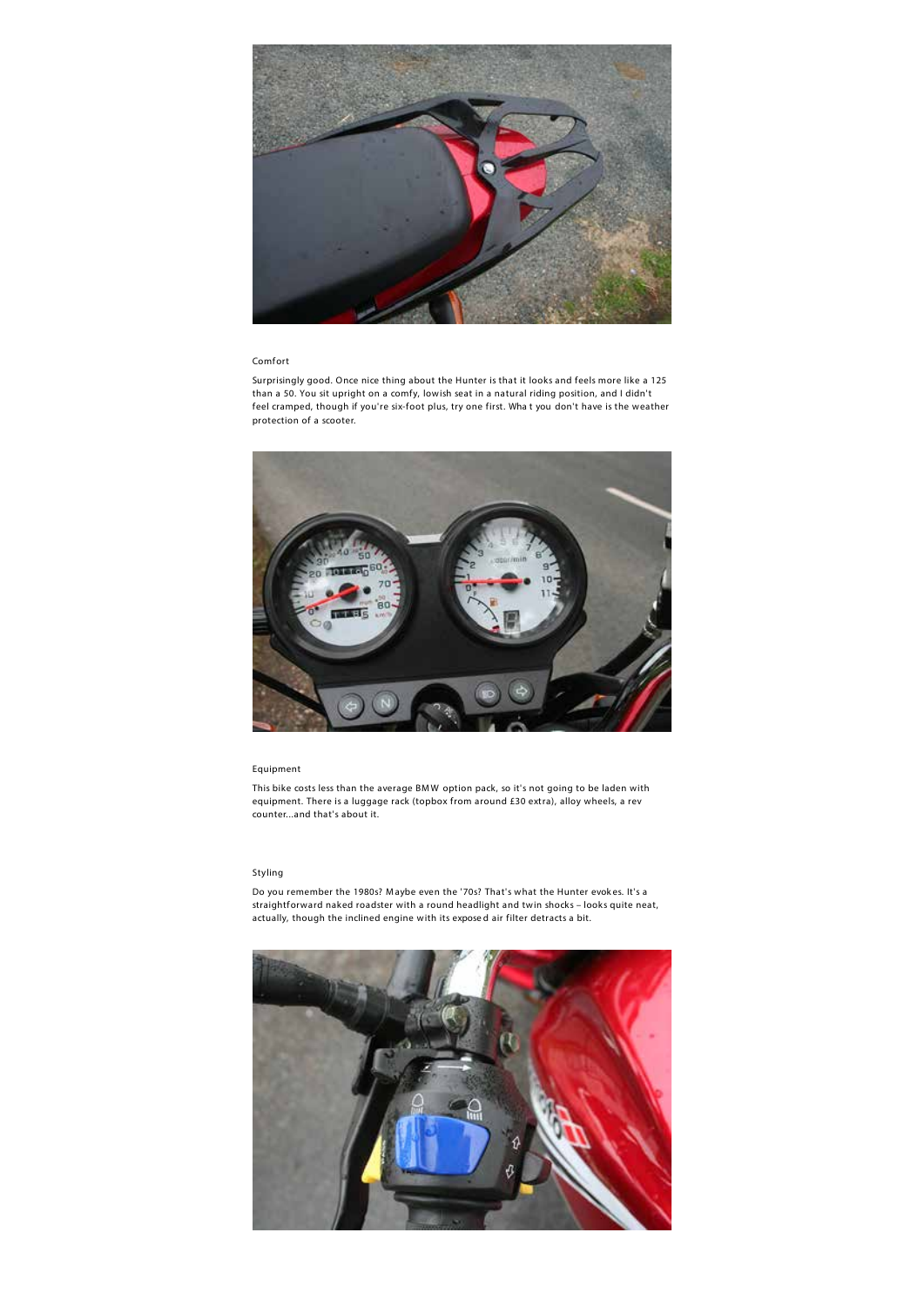

#### **Comfort**

Surprisingly good. Once nice thing about the Hunter is that it looks and feels more like a 125 than a 50. You sit upright on a comfy, lowish seat in a natural riding position, and I didn't feel cramped, though if you're six-foot plus, try one first. Wha t you don't have is the weather protection of a scooter.



## **Equipment**

This bike costs less than the average BMW option pack, so it's not going to be laden with equipment. There is a luggage rack (topbox from around £30 extra), alloy wheels, a rev counter...and that's about it.

## **Styling**

Do you remember the 1980s? M aybe even the '70s? That's what the Hunter evok es. It's a straightforward naked roadster with a round headlight and twin shocks – looks quite neat, actually, though the inclined engine with its expose d air filter detracts a bit.